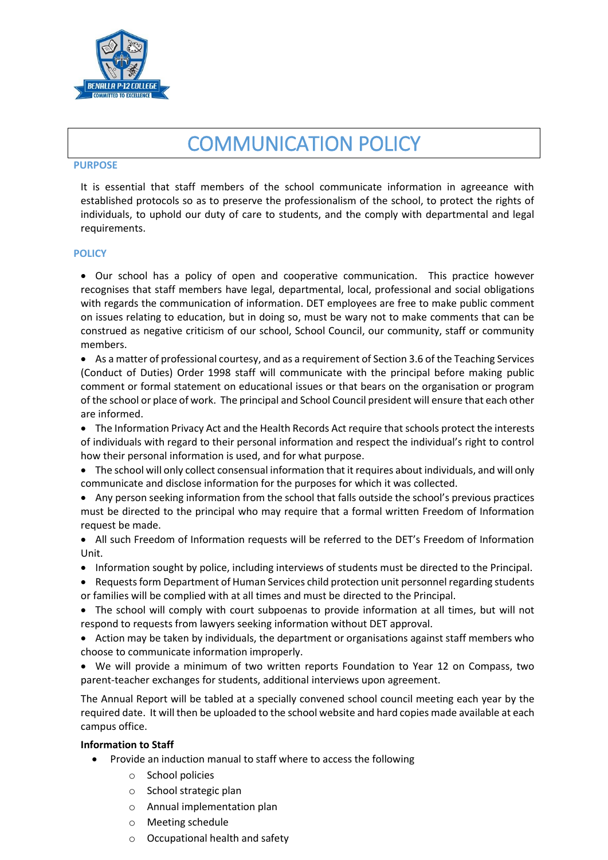

# COMMUNICATION POLICY

#### **PURPOSE**

It is essential that staff members of the school communicate information in agreeance with established protocols so as to preserve the professionalism of the school, to protect the rights of individuals, to uphold our duty of care to students, and the comply with departmental and legal requirements.

## **POLICY**

 Our school has a policy of open and cooperative communication. This practice however recognises that staff members have legal, departmental, local, professional and social obligations with regards the communication of information. DET employees are free to make public comment on issues relating to education, but in doing so, must be wary not to make comments that can be construed as negative criticism of our school, School Council, our community, staff or community members.

 As a matter of professional courtesy, and as a requirement of Section 3.6 of the Teaching Services (Conduct of Duties) Order 1998 staff will communicate with the principal before making public comment or formal statement on educational issues or that bears on the organisation or program of the school or place of work. The principal and School Council president will ensure that each other are informed.

• The Information Privacy Act and the Health Records Act require that schools protect the interests of individuals with regard to their personal information and respect the individual's right to control how their personal information is used, and for what purpose.

- The school will only collect consensual information that it requires about individuals, and will only communicate and disclose information for the purposes for which it was collected.
- Any person seeking information from the school that falls outside the school's previous practices must be directed to the principal who may require that a formal written Freedom of Information request be made.
- All such Freedom of Information requests will be referred to the DET's Freedom of Information Unit.
- Information sought by police, including interviews of students must be directed to the Principal.
- Requests form Department of Human Services child protection unit personnel regarding students or families will be complied with at all times and must be directed to the Principal.
- The school will comply with court subpoenas to provide information at all times, but will not respond to requests from lawyers seeking information without DET approval.
- Action may be taken by individuals, the department or organisations against staff members who choose to communicate information improperly.
- We will provide a minimum of two written reports Foundation to Year 12 on Compass, two parent-teacher exchanges for students, additional interviews upon agreement.

The Annual Report will be tabled at a specially convened school council meeting each year by the required date. It will then be uploaded to the school website and hard copies made available at each campus office.

## **Information to Staff**

- Provide an induction manual to staff where to access the following
	- o School policies
	- o School strategic plan
	- o Annual implementation plan
	- o Meeting schedule
	- o Occupational health and safety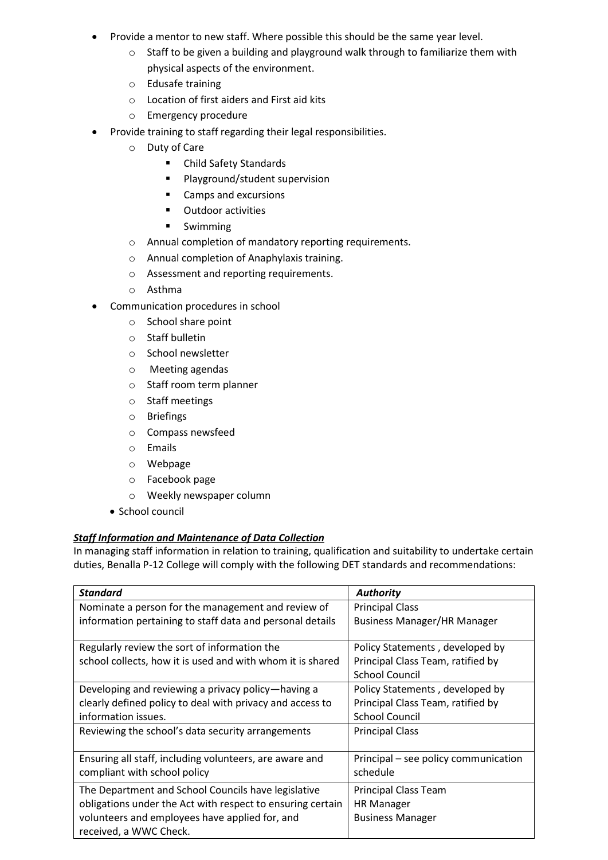- Provide a mentor to new staff. Where possible this should be the same year level.
	- o Staff to be given a building and playground walk through to familiarize them with physical aspects of the environment.
	- o Edusafe training
	- o Location of first aiders and First aid kits
	- o Emergency procedure
- Provide training to staff regarding their legal responsibilities.
	- o Duty of Care
		- Child Safety Standards
		- **Playground/student supervision**
		- Camps and excursions
		- **•** Outdoor activities
		- **Swimming**
	- o Annual completion of mandatory reporting requirements.
	- o Annual completion of Anaphylaxis training.
	- o Assessment and reporting requirements.
	- o Asthma
- Communication procedures in school
	- o School share point
	- o Staff bulletin
	- o School newsletter
	- o Meeting agendas
	- o Staff room term planner
	- o Staff meetings
	- o Briefings
	- o Compass newsfeed
	- o Emails
	- o Webpage
	- o Facebook page
	- o Weekly newspaper column
	- School council

# *Staff Information and Maintenance of Data Collection*

In managing staff information in relation to training, qualification and suitability to undertake certain duties, Benalla P-12 College will comply with the following DET standards and recommendations:

| <b>Standard</b>                                            | <b>Authority</b>                     |
|------------------------------------------------------------|--------------------------------------|
| Nominate a person for the management and review of         | <b>Principal Class</b>               |
| information pertaining to staff data and personal details  | <b>Business Manager/HR Manager</b>   |
| Regularly review the sort of information the               | Policy Statements, developed by      |
| school collects, how it is used and with whom it is shared | Principal Class Team, ratified by    |
|                                                            | <b>School Council</b>                |
| Developing and reviewing a privacy policy—having a         | Policy Statements, developed by      |
| clearly defined policy to deal with privacy and access to  | Principal Class Team, ratified by    |
| information issues.                                        | <b>School Council</b>                |
| Reviewing the school's data security arrangements          | <b>Principal Class</b>               |
| Ensuring all staff, including volunteers, are aware and    | Principal – see policy communication |
| compliant with school policy                               | schedule                             |
| The Department and School Councils have legislative        | <b>Principal Class Team</b>          |
| obligations under the Act with respect to ensuring certain | <b>HR Manager</b>                    |
| volunteers and employees have applied for, and             | <b>Business Manager</b>              |
| received, a WWC Check.                                     |                                      |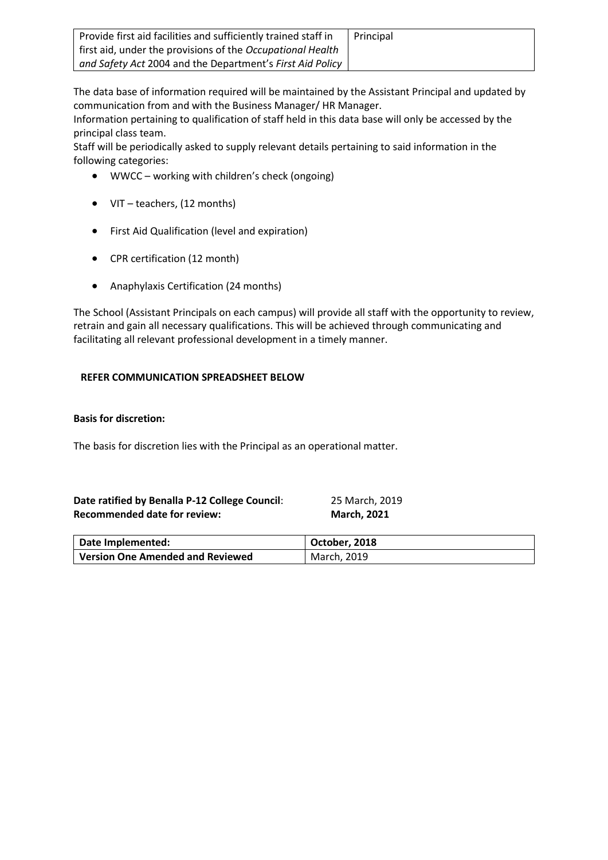| Provide first aid facilities and sufficiently trained staff in    | Principal |
|-------------------------------------------------------------------|-----------|
| first aid, under the provisions of the Occupational Health        |           |
| and Safety Act 2004 and the Department's First Aid Policy $\vert$ |           |

The data base of information required will be maintained by the Assistant Principal and updated by communication from and with the Business Manager/ HR Manager.

Information pertaining to qualification of staff held in this data base will only be accessed by the principal class team.

Staff will be periodically asked to supply relevant details pertaining to said information in the following categories:

- WWCC working with children's check (ongoing)
- VIT teachers, (12 months)
- First Aid Qualification (level and expiration)
- CPR certification (12 month)
- Anaphylaxis Certification (24 months)

The School (Assistant Principals on each campus) will provide all staff with the opportunity to review, retrain and gain all necessary qualifications. This will be achieved through communicating and facilitating all relevant professional development in a timely manner.

# **REFER COMMUNICATION SPREADSHEET BELOW**

## **Basis for discretion:**

The basis for discretion lies with the Principal as an operational matter.

| Date ratified by Benalla P-12 College Council: | 25 March, 2019     |
|------------------------------------------------|--------------------|
| <b>Recommended date for review:</b>            | <b>March, 2021</b> |

| Date Implemented:                | October, 2018 |
|----------------------------------|---------------|
| Version One Amended and Reviewed | March, 2019   |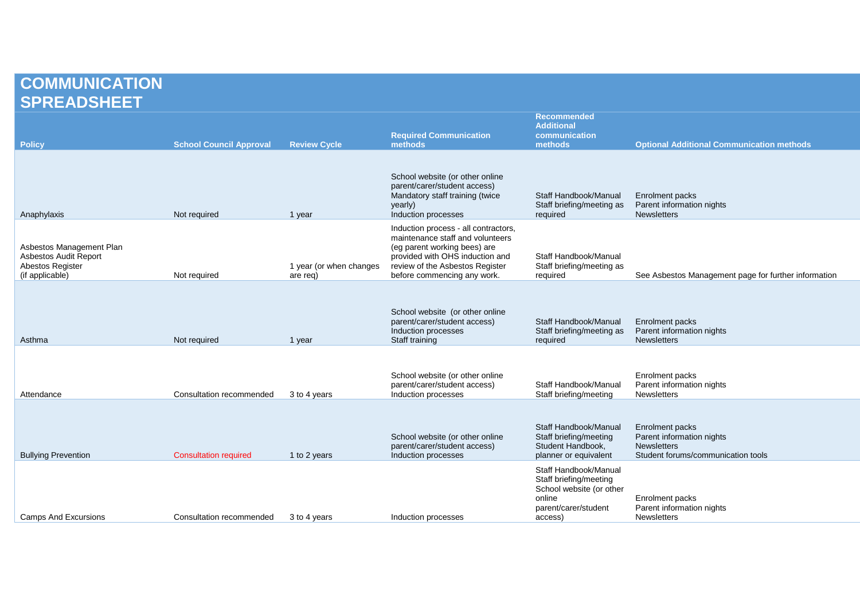# **COMMUNICATION SPREADSHEET**

| <b>Policy</b>                                                                            | <b>School Council Approval</b> | <b>Review Cycle</b>                 | <b>Required Communication</b><br>methods                                                                                                                                                                      | <b>Recommended</b><br><b>Additional</b><br>communication<br>methods                                                      | <b>Optional Additional Communication methods</b>                                                         |
|------------------------------------------------------------------------------------------|--------------------------------|-------------------------------------|---------------------------------------------------------------------------------------------------------------------------------------------------------------------------------------------------------------|--------------------------------------------------------------------------------------------------------------------------|----------------------------------------------------------------------------------------------------------|
| Anaphylaxis                                                                              | Not required                   | 1 year                              | School website (or other online<br>parent/carer/student access)<br>Mandatory staff training (twice<br>yearly)<br>Induction processes                                                                          | Staff Handbook/Manual<br>Staff briefing/meeting as<br>required                                                           | Enrolment packs<br>Parent information nights<br><b>Newsletters</b>                                       |
| Asbestos Management Plan<br>Asbestos Audit Report<br>Abestos Register<br>(if applicable) | Not required                   | 1 year (or when changes<br>are reg) | Induction process - all contractors,<br>maintenance staff and volunteers<br>(eg parent working bees) are<br>provided with OHS induction and<br>review of the Asbestos Register<br>before commencing any work. | Staff Handbook/Manual<br>Staff briefing/meeting as<br>required                                                           | See Asbestos Management page for further information                                                     |
| Asthma                                                                                   | Not required                   | 1 year                              | School website (or other online<br>parent/carer/student access)<br>Induction processes<br>Staff training                                                                                                      | Staff Handbook/Manual<br>Staff briefing/meeting as<br>required                                                           | Enrolment packs<br>Parent information nights<br><b>Newsletters</b>                                       |
| Attendance                                                                               | Consultation recommended       | 3 to 4 years                        | School website (or other online<br>parent/carer/student access)<br>Induction processes                                                                                                                        | Staff Handbook/Manual<br>Staff briefing/meeting                                                                          | Enrolment packs<br>Parent information nights<br><b>Newsletters</b>                                       |
| <b>Bullying Prevention</b>                                                               | <b>Consultation required</b>   | 1 to 2 years                        | School website (or other online<br>parent/carer/student access)<br>Induction processes                                                                                                                        | Staff Handbook/Manual<br>Staff briefing/meeting<br>Student Handbook,<br>planner or equivalent                            | Enrolment packs<br>Parent information nights<br><b>Newsletters</b><br>Student forums/communication tools |
| <b>Camps And Excursions</b>                                                              | Consultation recommended       | 3 to 4 years                        | Induction processes                                                                                                                                                                                           | Staff Handbook/Manual<br>Staff briefing/meeting<br>School website (or other<br>online<br>parent/carer/student<br>access) | Enrolment packs<br>Parent information nights<br><b>Newsletters</b>                                       |
|                                                                                          |                                |                                     |                                                                                                                                                                                                               |                                                                                                                          |                                                                                                          |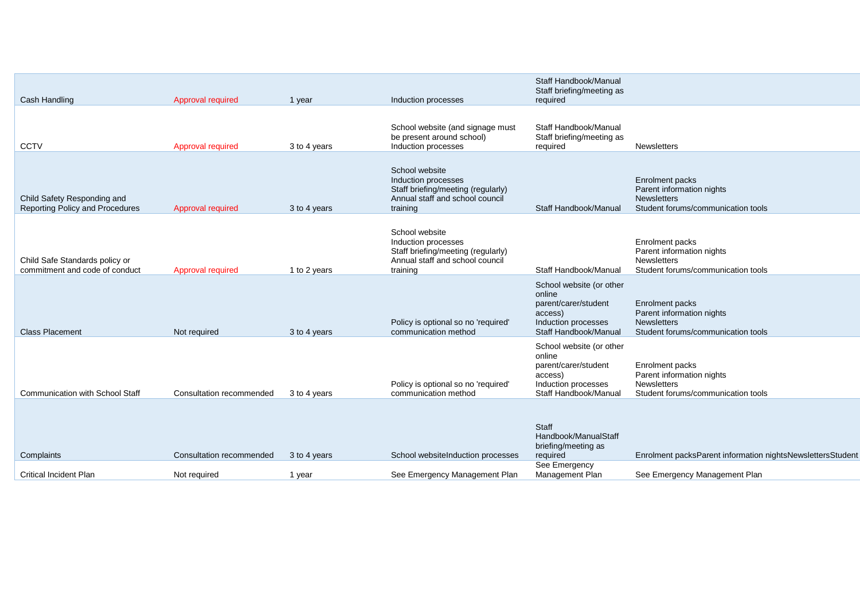| Cash Handling                                                         | Approval required        | 1 year       | Induction processes                                                                                                        | Staff Handbook/Manual<br>Staff briefing/meeting as<br>required                                                        |                                                                                                          |
|-----------------------------------------------------------------------|--------------------------|--------------|----------------------------------------------------------------------------------------------------------------------------|-----------------------------------------------------------------------------------------------------------------------|----------------------------------------------------------------------------------------------------------|
| <b>CCTV</b>                                                           | Approval required        | 3 to 4 years | School website (and signage must<br>be present around school)<br>Induction processes                                       | Staff Handbook/Manual<br>Staff briefing/meeting as<br>required                                                        | <b>Newsletters</b>                                                                                       |
| Child Safety Responding and<br><b>Reporting Policy and Procedures</b> | Approval required        | 3 to 4 years | School website<br>Induction processes<br>Staff briefing/meeting (regularly)<br>Annual staff and school council<br>training | Staff Handbook/Manual                                                                                                 | Enrolment packs<br>Parent information nights<br><b>Newsletters</b><br>Student forums/communication tools |
| Child Safe Standards policy or<br>commitment and code of conduct      | Approval required        | 1 to 2 years | School website<br>Induction processes<br>Staff briefing/meeting (regularly)<br>Annual staff and school council<br>training | Staff Handbook/Manual                                                                                                 | Enrolment packs<br>Parent information nights<br><b>Newsletters</b><br>Student forums/communication tools |
| <b>Class Placement</b>                                                | Not required             | 3 to 4 years | Policy is optional so no 'required'<br>communication method                                                                | School website (or other<br>online<br>parent/carer/student<br>access)<br>Induction processes<br>Staff Handbook/Manual | Enrolment packs<br>Parent information nights<br><b>Newsletters</b><br>Student forums/communication tools |
| <b>Communication with School Staff</b>                                | Consultation recommended | 3 to 4 years | Policy is optional so no 'required'<br>communication method                                                                | School website (or other<br>online<br>parent/carer/student<br>access)<br>Induction processes<br>Staff Handbook/Manual | Enrolment packs<br>Parent information nights<br><b>Newsletters</b><br>Student forums/communication tools |
| Complaints                                                            | Consultation recommended | 3 to 4 years | School websiteInduction processes                                                                                          | Staff<br>Handbook/ManualStaff<br>briefing/meeting as<br>required                                                      | Enrolment packsParent information nightsNewslettersStudent                                               |
| <b>Critical Incident Plan</b>                                         | Not required             | 1 year       | See Emergency Management Plan                                                                                              | See Emergency<br>Management Plan                                                                                      | See Emergency Management Plan                                                                            |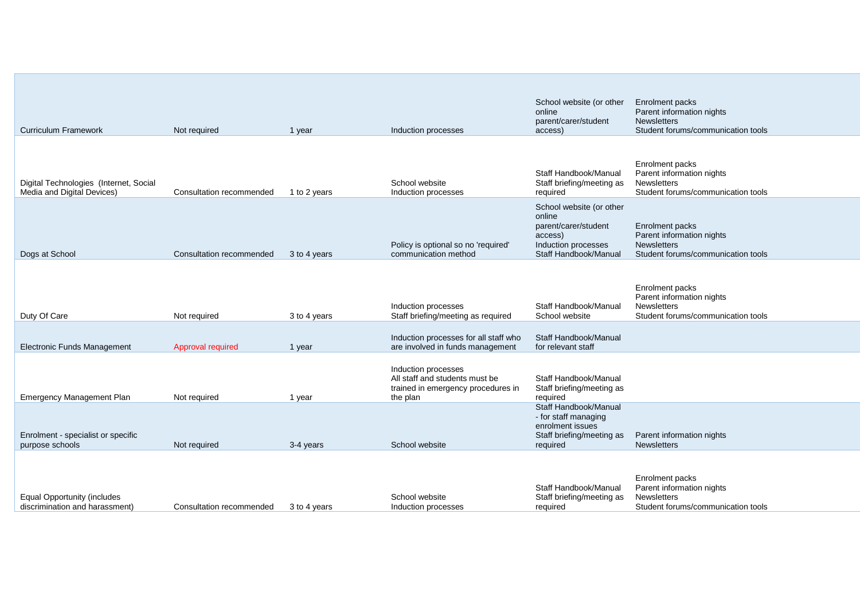| <b>Curriculum Framework</b>                                          | Not required             | 1 year       | Induction processes                                                                                     | School website (or other<br>online<br>parent/carer/student<br>access)                                                 | Enrolment packs<br>Parent information nights<br><b>Newsletters</b><br>Student forums/communication tools |
|----------------------------------------------------------------------|--------------------------|--------------|---------------------------------------------------------------------------------------------------------|-----------------------------------------------------------------------------------------------------------------------|----------------------------------------------------------------------------------------------------------|
| Digital Technologies (Internet, Social<br>Media and Digital Devices) | Consultation recommended | 1 to 2 years | School website<br>Induction processes                                                                   | Staff Handbook/Manual<br>Staff briefing/meeting as<br>required                                                        | Enrolment packs<br>Parent information nights<br>Newsletters<br>Student forums/communication tools        |
| Dogs at School                                                       | Consultation recommended | 3 to 4 years | Policy is optional so no 'required'<br>communication method                                             | School website (or other<br>online<br>parent/carer/student<br>access)<br>Induction processes<br>Staff Handbook/Manual | Enrolment packs<br>Parent information nights<br><b>Newsletters</b><br>Student forums/communication tools |
| Duty Of Care                                                         | Not required             | 3 to 4 years | Induction processes<br>Staff briefing/meeting as required                                               | Staff Handbook/Manual<br>School website                                                                               | Enrolment packs<br>Parent information nights<br><b>Newsletters</b><br>Student forums/communication tools |
| <b>Electronic Funds Management</b>                                   | Approval required        | 1 year       | Induction processes for all staff who<br>are involved in funds management                               | Staff Handbook/Manual<br>for relevant staff                                                                           |                                                                                                          |
| <b>Emergency Management Plan</b>                                     | Not required             | 1 year       | Induction processes<br>All staff and students must be<br>trained in emergency procedures in<br>the plan | Staff Handbook/Manual<br>Staff briefing/meeting as<br>required                                                        |                                                                                                          |
| Enrolment - specialist or specific<br>purpose schools                | Not required             | 3-4 years    | School website                                                                                          | Staff Handbook/Manual<br>- for staff managing<br>enrolment issues<br>Staff briefing/meeting as<br>required            | Parent information nights<br><b>Newsletters</b>                                                          |
| <b>Equal Opportunity (includes</b><br>discrimination and harassment) | Consultation recommended | 3 to 4 years | School website<br>Induction processes                                                                   | Staff Handbook/Manual<br>Staff briefing/meeting as<br>required                                                        | Enrolment packs<br>Parent information nights<br><b>Newsletters</b><br>Student forums/communication tools |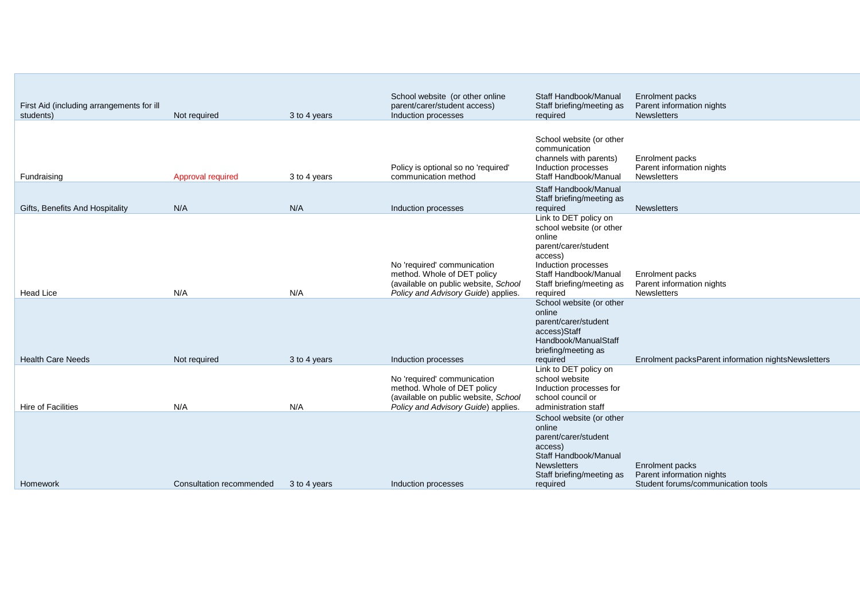| First Aid (including arrangements for ill<br>students) | Not required             | 3 to 4 years | School website (or other online<br>parent/carer/student access)<br>Induction processes                                                    | Staff Handbook/Manual<br>Staff briefing/meeting as<br>required                                                                                                                          | <b>Enrolment packs</b><br>Parent information nights<br><b>Newsletters</b>          |
|--------------------------------------------------------|--------------------------|--------------|-------------------------------------------------------------------------------------------------------------------------------------------|-----------------------------------------------------------------------------------------------------------------------------------------------------------------------------------------|------------------------------------------------------------------------------------|
| Fundraising                                            | Approval required        | 3 to 4 years | Policy is optional so no 'required'<br>communication method                                                                               | School website (or other<br>communication<br>channels with parents)<br>Induction processes<br>Staff Handbook/Manual                                                                     | Enrolment packs<br>Parent information nights<br><b>Newsletters</b>                 |
| Gifts, Benefits And Hospitality                        | N/A                      | N/A          | Induction processes                                                                                                                       | Staff Handbook/Manual<br>Staff briefing/meeting as<br>required                                                                                                                          | <b>Newsletters</b>                                                                 |
| Head Lice                                              | N/A                      | N/A          | No 'required' communication<br>method. Whole of DET policy<br>(available on public website, School<br>Policy and Advisory Guide) applies. | Link to DET policy on<br>school website (or other<br>online<br>parent/carer/student<br>access)<br>Induction processes<br>Staff Handbook/Manual<br>Staff briefing/meeting as<br>required | Enrolment packs<br>Parent information nights<br><b>Newsletters</b>                 |
| <b>Health Care Needs</b>                               | Not required             | 3 to 4 years | Induction processes                                                                                                                       | School website (or other<br>online<br>parent/carer/student<br>access)Staff<br>Handbook/ManualStaff<br>briefing/meeting as<br>required                                                   | Enrolment packsParent information nightsNewsletters                                |
| <b>Hire of Facilities</b>                              | N/A                      | N/A          | No 'required' communication<br>method. Whole of DET policy<br>(available on public website, School<br>Policy and Advisory Guide) applies. | Link to DET policy on<br>school website<br>Induction processes for<br>school council or<br>administration staff                                                                         |                                                                                    |
| Homework                                               | Consultation recommended | 3 to 4 years | Induction processes                                                                                                                       | School website (or other<br>online<br>parent/carer/student<br>access)<br>Staff Handbook/Manual<br><b>Newsletters</b><br>Staff briefing/meeting as<br>required                           | Enrolment packs<br>Parent information nights<br>Student forums/communication tools |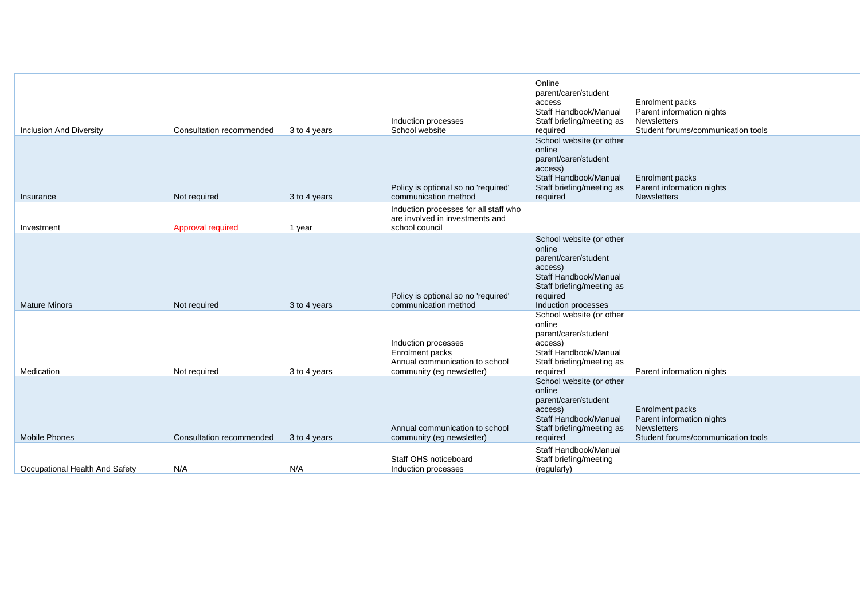| <b>Inclusion And Diversity</b> | Consultation recommended | 3 to 4 years | Induction processes<br>School website                                                                 | Online<br>parent/carer/student<br>access<br>Staff Handbook/Manual<br>Staff briefing/meeting as<br>required<br>School website (or other                         | Enrolment packs<br>Parent information nights<br><b>Newsletters</b><br>Student forums/communication tools |
|--------------------------------|--------------------------|--------------|-------------------------------------------------------------------------------------------------------|----------------------------------------------------------------------------------------------------------------------------------------------------------------|----------------------------------------------------------------------------------------------------------|
| Insurance                      | Not required             | 3 to 4 years | Policy is optional so no 'required'<br>communication method                                           | online<br>parent/carer/student<br>access)<br>Staff Handbook/Manual<br>Staff briefing/meeting as<br>required                                                    | Enrolment packs<br>Parent information nights<br><b>Newsletters</b>                                       |
| Investment                     | Approval required        | 1 year       | Induction processes for all staff who<br>are involved in investments and<br>school council            |                                                                                                                                                                |                                                                                                          |
| <b>Mature Minors</b>           | Not required             | 3 to 4 years | Policy is optional so no 'required'<br>communication method                                           | School website (or other<br>online<br>parent/carer/student<br>access)<br>Staff Handbook/Manual<br>Staff briefing/meeting as<br>required<br>Induction processes |                                                                                                          |
| Medication                     | Not required             | 3 to 4 years | Induction processes<br>Enrolment packs<br>Annual communication to school<br>community (eg newsletter) | School website (or other<br>online<br>parent/carer/student<br>access)<br>Staff Handbook/Manual<br>Staff briefing/meeting as<br>required                        | Parent information nights                                                                                |
| <b>Mobile Phones</b>           | Consultation recommended | 3 to 4 years | Annual communication to school<br>community (eg newsletter)                                           | School website (or other<br>online<br>parent/carer/student<br>access)<br>Staff Handbook/Manual<br>Staff briefing/meeting as<br>required                        | Enrolment packs<br>Parent information nights<br><b>Newsletters</b><br>Student forums/communication tools |
| Occupational Health And Safety | N/A                      | N/A          | Staff OHS noticeboard<br>Induction processes                                                          | Staff Handbook/Manual<br>Staff briefing/meeting<br>(regularly)                                                                                                 |                                                                                                          |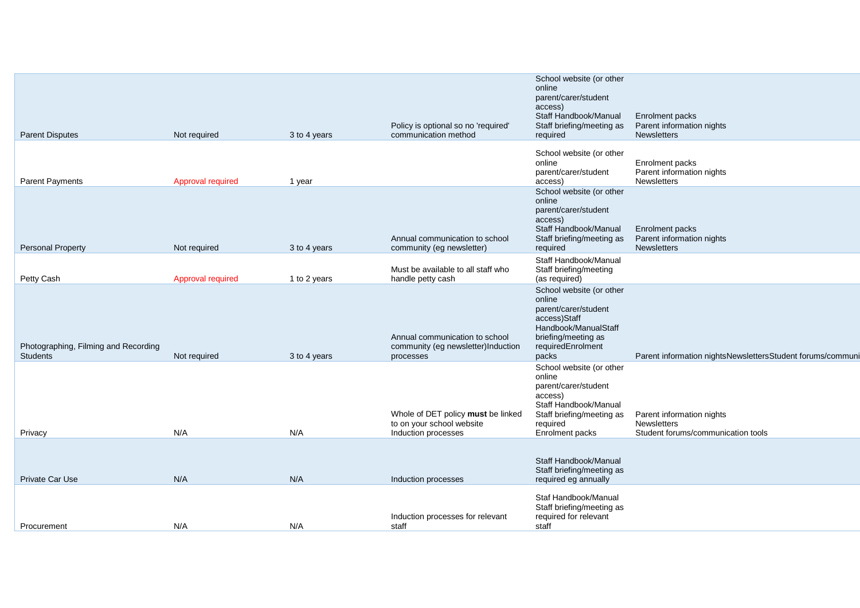| <b>Parent Disputes</b>                                  | Not required      | 3 to 4 years | Policy is optional so no 'required'<br>communication method                            | School website (or other<br>online<br>parent/carer/student<br>access)<br>Staff Handbook/Manual<br>Staff briefing/meeting as<br>required                    | Enrolment packs<br>Parent information nights<br>Newsletters                           |
|---------------------------------------------------------|-------------------|--------------|----------------------------------------------------------------------------------------|------------------------------------------------------------------------------------------------------------------------------------------------------------|---------------------------------------------------------------------------------------|
|                                                         |                   |              |                                                                                        | School website (or other                                                                                                                                   |                                                                                       |
| <b>Parent Payments</b>                                  | Approval required | 1 year       |                                                                                        | online<br>parent/carer/student<br>access)                                                                                                                  | Enrolment packs<br>Parent information nights<br><b>Newsletters</b>                    |
| <b>Personal Property</b>                                | Not required      | 3 to 4 years | Annual communication to school<br>community (eg newsletter)                            | School website (or other<br>online<br>parent/carer/student<br>access)<br>Staff Handbook/Manual<br>Staff briefing/meeting as<br>required                    | Enrolment packs<br>Parent information nights<br><b>Newsletters</b>                    |
| Petty Cash                                              | Approval required | 1 to 2 years | Must be available to all staff who<br>handle petty cash                                | Staff Handbook/Manual<br>Staff briefing/meeting<br>(as required)                                                                                           |                                                                                       |
| Photographing, Filming and Recording<br><b>Students</b> | Not required      | 3 to 4 years | Annual communication to school<br>community (eg newsletter)Induction<br>processes      | School website (or other<br>online<br>parent/carer/student<br>access)Staff<br>Handbook/ManualStaff<br>briefing/meeting as<br>requiredEnrolment<br>packs    | Parent information nightsNewslettersStudent forums/communi                            |
| Privacy                                                 | N/A               | N/A          | Whole of DET policy must be linked<br>to on your school website<br>Induction processes | School website (or other<br>online<br>parent/carer/student<br>access)<br>Staff Handbook/Manual<br>Staff briefing/meeting as<br>required<br>Enrolment packs | Parent information nights<br><b>Newsletters</b><br>Student forums/communication tools |
| Private Car Use                                         | N/A               | N/A          | Induction processes                                                                    | Staff Handbook/Manual<br>Staff briefing/meeting as<br>required eg annually                                                                                 |                                                                                       |
| Procurement                                             | N/A               | N/A          | Induction processes for relevant<br>staff                                              | Staf Handbook/Manual<br>Staff briefing/meeting as<br>required for relevant<br>staff                                                                        |                                                                                       |
|                                                         |                   |              |                                                                                        |                                                                                                                                                            |                                                                                       |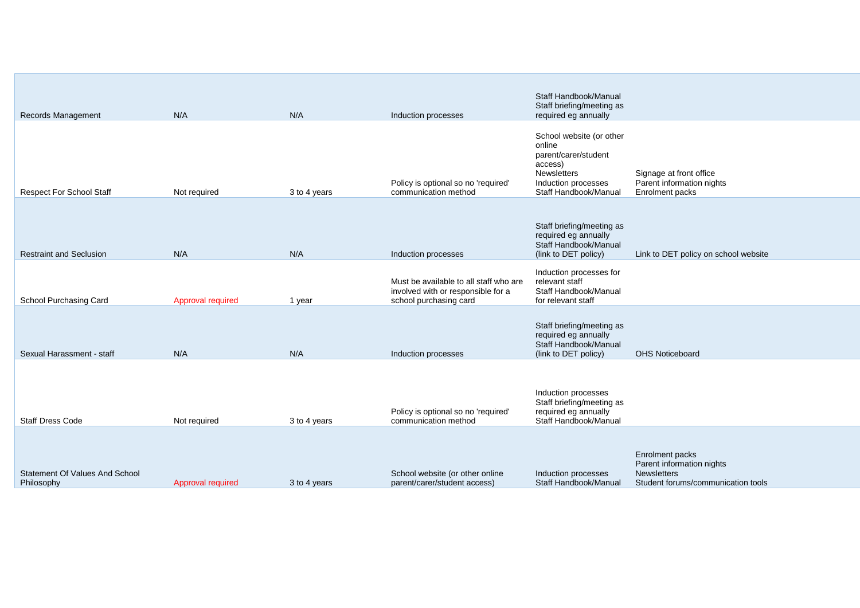|                                              |                   |              |                                                                                                        | Staff Handbook/Manual                                                                                                                |                                                                                                          |
|----------------------------------------------|-------------------|--------------|--------------------------------------------------------------------------------------------------------|--------------------------------------------------------------------------------------------------------------------------------------|----------------------------------------------------------------------------------------------------------|
| Records Management                           | N/A               | N/A          | Induction processes                                                                                    | Staff briefing/meeting as<br>required eg annually                                                                                    |                                                                                                          |
| <b>Respect For School Staff</b>              | Not required      | 3 to 4 years | Policy is optional so no 'required'<br>communication method                                            | School website (or other<br>online<br>parent/carer/student<br>access)<br>Newsletters<br>Induction processes<br>Staff Handbook/Manual | Signage at front office<br>Parent information nights<br>Enrolment packs                                  |
| <b>Restraint and Seclusion</b>               | N/A               | N/A          | Induction processes                                                                                    | Staff briefing/meeting as<br>required eg annually<br>Staff Handbook/Manual<br>(link to DET policy)                                   | Link to DET policy on school website                                                                     |
| School Purchasing Card                       | Approval required | 1 year       | Must be available to all staff who are<br>involved with or responsible for a<br>school purchasing card | Induction processes for<br>relevant staff<br>Staff Handbook/Manual<br>for relevant staff                                             |                                                                                                          |
| Sexual Harassment - staff                    | N/A               | N/A          | Induction processes                                                                                    | Staff briefing/meeting as<br>required eg annually<br>Staff Handbook/Manual<br>(link to DET policy)                                   | <b>OHS Noticeboard</b>                                                                                   |
| <b>Staff Dress Code</b>                      | Not required      | 3 to 4 years | Policy is optional so no 'required'<br>communication method                                            | Induction processes<br>Staff briefing/meeting as<br>required eg annually<br>Staff Handbook/Manual                                    |                                                                                                          |
| Statement Of Values And School<br>Philosophy | Approval required | 3 to 4 years | School website (or other online<br>parent/carer/student access)                                        | Induction processes<br>Staff Handbook/Manual                                                                                         | Enrolment packs<br>Parent information nights<br><b>Newsletters</b><br>Student forums/communication tools |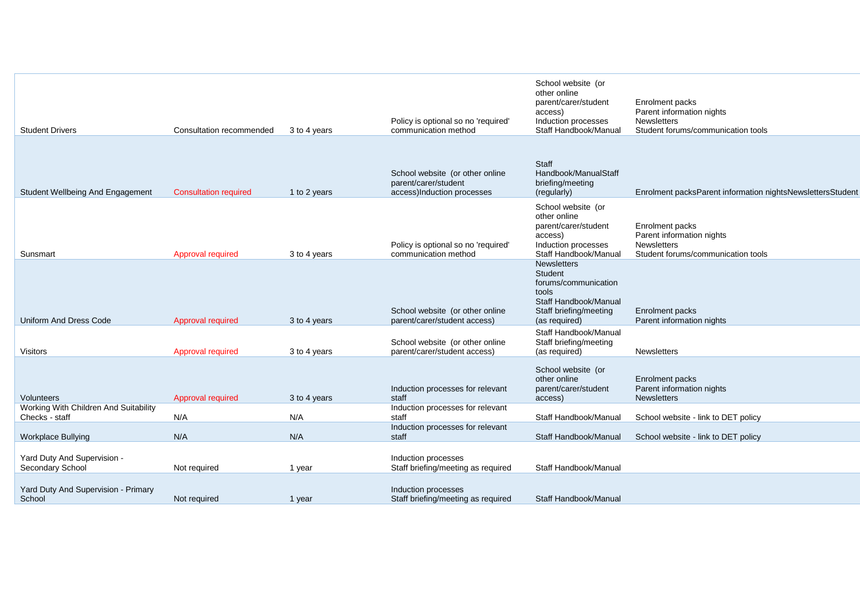| <b>Student Drivers</b>                                  | Consultation recommended     | 3 to 4 years | Policy is optional so no 'required'<br>communication method                           | School website (or<br>other online<br>parent/carer/student<br>access)<br>Induction processes<br>Staff Handbook/Manual              | Enrolment packs<br>Parent information nights<br>Newsletters<br>Student forums/communication tools |
|---------------------------------------------------------|------------------------------|--------------|---------------------------------------------------------------------------------------|------------------------------------------------------------------------------------------------------------------------------------|---------------------------------------------------------------------------------------------------|
|                                                         |                              |              |                                                                                       |                                                                                                                                    |                                                                                                   |
| Student Wellbeing And Engagement                        | <b>Consultation required</b> | 1 to 2 years | School website (or other online<br>parent/carer/student<br>access)Induction processes | Staff<br>Handbook/ManualStaff<br>briefing/meeting<br>(regularly)                                                                   | Enrolment packsParent information nightsNewslettersStudent                                        |
| Sunsmart                                                | Approval required            | 3 to 4 years | Policy is optional so no 'required'<br>communication method                           | School website (or<br>other online<br>parent/carer/student<br>access)<br>Induction processes<br>Staff Handbook/Manual              | Enrolment packs<br>Parent information nights<br>Newsletters<br>Student forums/communication tools |
| <b>Uniform And Dress Code</b>                           | Approval required            | 3 to 4 years | School website (or other online<br>parent/carer/student access)                       | <b>Newsletters</b><br>Student<br>forums/communication<br>tools<br>Staff Handbook/Manual<br>Staff briefing/meeting<br>(as required) | Enrolment packs<br>Parent information nights                                                      |
| <b>Visitors</b>                                         | Approval required            | 3 to 4 years | School website (or other online<br>parent/carer/student access)                       | Staff Handbook/Manual<br>Staff briefing/meeting<br>(as required)                                                                   | Newsletters                                                                                       |
| Volunteers                                              | Approval required            | 3 to 4 years | Induction processes for relevant<br>staff                                             | School website (or<br>other online<br>parent/carer/student<br>access)                                                              | Enrolment packs<br>Parent information nights<br><b>Newsletters</b>                                |
| Working With Children And Suitability<br>Checks - staff | N/A                          | N/A          | Induction processes for relevant<br>staff                                             | Staff Handbook/Manual                                                                                                              | School website - link to DET policy                                                               |
| <b>Workplace Bullying</b>                               | N/A                          | N/A          | Induction processes for relevant<br>staff                                             | Staff Handbook/Manual                                                                                                              | School website - link to DET policy                                                               |
| Yard Duty And Supervision -<br>Secondary School         | Not required                 | 1 year       | Induction processes<br>Staff briefing/meeting as required                             | Staff Handbook/Manual                                                                                                              |                                                                                                   |
| Yard Duty And Supervision - Primary<br>School           | Not required                 | 1 year       | Induction processes<br>Staff briefing/meeting as required                             | Staff Handbook/Manual                                                                                                              |                                                                                                   |
|                                                         |                              |              |                                                                                       |                                                                                                                                    |                                                                                                   |